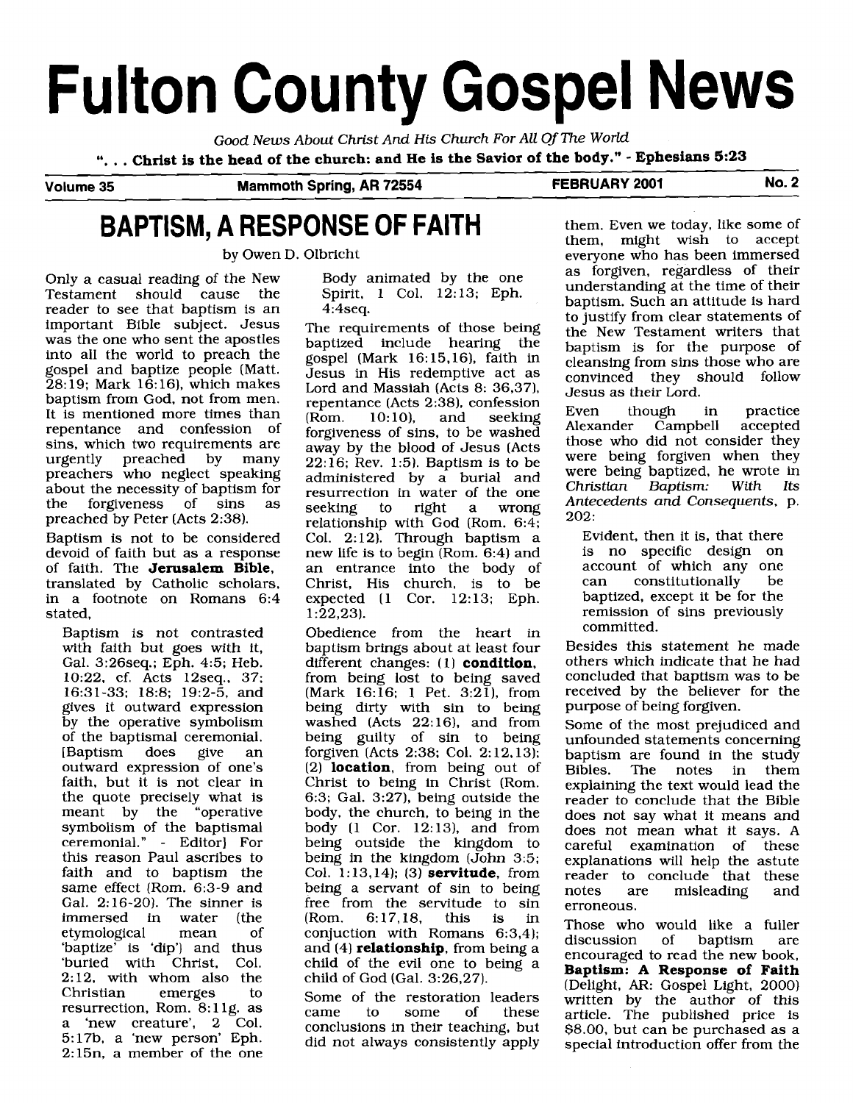# **Fulton County Gospel News**

Good News About Christ And **His** Church For All Of The World

". . . **Christ is the head of the church: and He is the Savior of the body."** - **Ephesians 5:23** 

**Volume 35 Mammoth Spring, AR 72554 FEBRUARY 2001 No. 2** 

## **BAPTISM, A RESPONSE OF FAITH** them. Even we today, like some of

Only a casual reading of the New Testament should cause the reader to see that baptism is an important Bible subject. Jesus was the one who sent the apostles into all the world to preach the gospel and baptize people (Matt.  $28:19$ ; Mark 16:16), which makes baptism from God, not from men. It is mentioned more times than repentance and confession of sins, which two requirements are<br>urgently preached by many urgently preached preachers who neglect speaking about the necessity of baptism for<br>the forgiveness of sins as forgiveness of sins preached by Peter (Acts 2:38).

Baptism is not to be considered devoid of faith but as a response of faith. The **Jerusalem Bible,**  translated by Catholic scholars, in a footnote on Romans 6:4 stated,

Baptism is not contrasted with faith but goes with it, Gal. 3:26seq.; Eph. 4:5; Heb. 10:22. cf. Acts 12seq.. 37; 16:31-33; 18:8; 19:2-5, and gives it outward expression by the operative symbolism of the baptismal ceremonial.<br>[Baptism does give an [Baptism] outward expression of one's faith, but it is not clear in the quote precisely what is meant by the "operative symbolism of the baptismal ceremonial." - Editor] For this reason Paul ascribes to faith and to baptism the same effect (Rom. 6:3-9 and Gal. 2:16-20). The sinner is<br>immersed in water (the immersed in water (the etymological 'baptize' is 'dip') and thus 'buried with Christ, Col. 2: 12, with whom also the Christian emerges to resurrection, Rom.  $8:11g$ . as a 'new creature', 2 Col. 5: 17b, a 'new person' Eph. 2:15n, a member of the one

Body animated by the one Spirit, 1 Col. 12:13; Eph. 4:4seq.

The requirements of those being baptized include hearing the gospel (Mark 16: 15,16), faith in Jesus in His redemptive act as Lord and Massiah (Acts 8: 36,37). repentance (Acts 2:38), confession<br>(Rom. 10:10), and seeking seeking forgiveness of sins, to be washed away by the blood of Jesus (Acts 22: 16; Rev. 1:5). Baptism is to be administered by a burial and resurrection in water of the one<br>seeking to right a wrong seeking to right a wrong relationship with God (Rom. 6:4; Col. 2:12). Through baptism a new life is to begin  $(Rom. 6:4)$  and an entrance into the body of Christ, His church, is to be expected (1 Cor. 12:13; Eph.  $1:22,23$ ).

Obedience from the heart in baptism brings about at least four different changes: (1) **condition**, from being lost to being saved  $(Mark 16:16; 1 Pet. 3:21)$ , from being dirty with sin to being washed (Acts 22:16), and from being guilty of sin to being forgiven (Acts 2:38; Col. 2: 12,13); (2) **location,** from being out of Christ to being in Christ (Rom. 6:3; Gal. 3:27), being outside the body, the church, to being in the body  $(1 \text{Cor. } 12:13)$ , and from being outside the kingdom to being in the kingdom (John 3:5; Col. 1: 13,14); (3) **servitude,** from being a servant of sin to being free from the servitude to sin (Rom. 6:17,18, this is in conjuction with Romans 6:3,4); and (4) **relationship,** from being a child of the evil one to being a child of God (Gal. 3:26,27).

Some of the restoration leaders came to some of these conclusions in their teaching, but did not always consistently apply

them. might wish to accept by Owen D. Olbricht everyone who has been immersed as forgiven, regardless of their understanding at the time of their baptism. Such an attitude is hard to justify from clear statements of the New Testament writers that baptism is for the purpose of cleansing from sins those who are convinced they should follow Jesus as their Lord.

> Even though in practice<br>Alexander Campbell accepted Alexander Campbell those who did not consider they were being forgiven when they were being baptized, he wrote in<br>Christian Baptism: With Its  $Christian$  Baptism: Antecedents and Consequents, p. 202:

Evident, then it is, that there is no specific design on account of which any one<br>can constitutionally be can constitutionally be baptized, except it be for the remission of sins previously committed.

Besides this statement he made others which indicate that he had concluded that baptism was to be received by the believer for the purpose of being forgiven.

Some of the most prejudiced and unfounded statements concerning baptism are found in the study<br>Bibles. The notes in them The notes in explaining the text would lead the reader to conclude that the Bible does not say what it means and does not mean what it says. A careful examination of these explanations will help the astute reader to conclude that these<br>notes are misleading and misleading and erroneous.

Those who would like a fuller<br>discussion of baptism are discussion of baptism are encouraged to read the new book, **Baptism:** A **Response of Faith**  (Delight, AR: Gospel Light, 2000) written by the author of this article. The published price is \$8.00, but can be purchased as a special introduction offer from the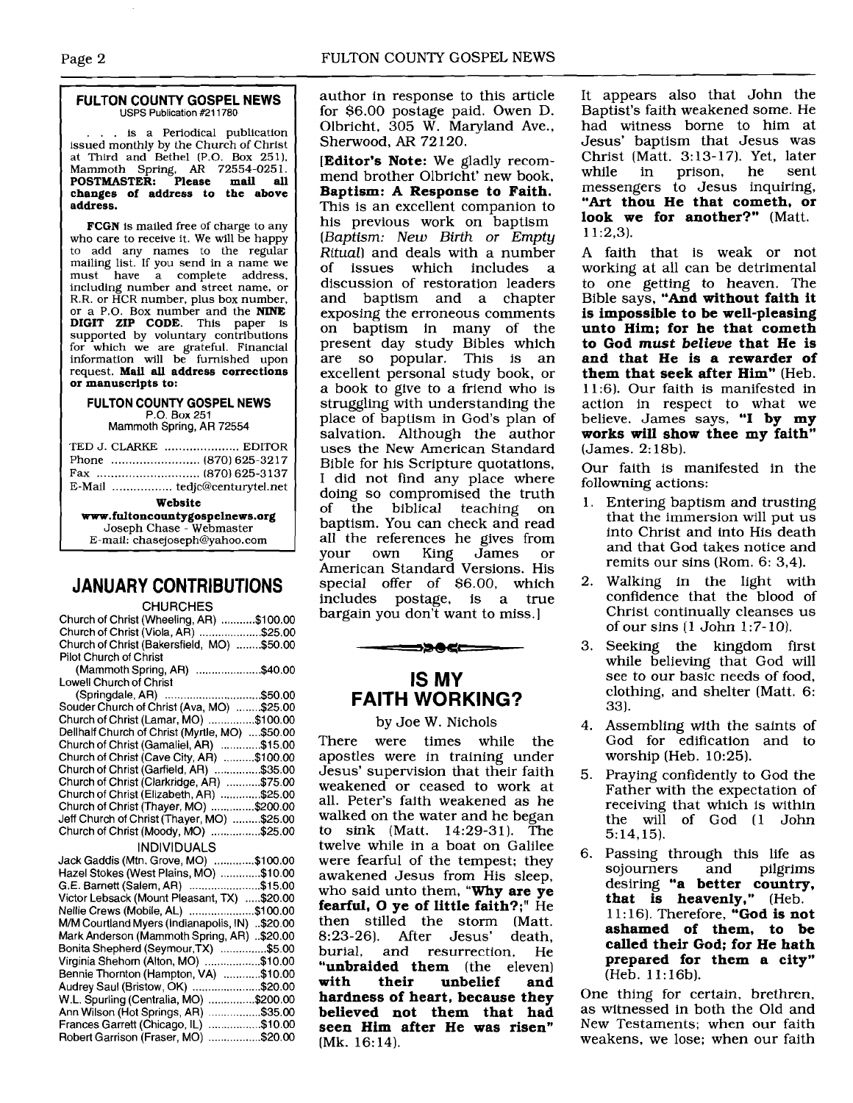### **FULTON COUNTY GOSPEL NEWS**  USPS Publication **#211780**

... is a Periodical publication issued monthly by the Church of Christ at Third and Bethel (P.O. Box 251). Mammoth Spring, **AR** 72554-025 1. **POSTMASTER. Please mail all changes of address to the above address.** 

**FCGN** is mailed free of charge to any who care to receive it. We **will** be happy to add any names to the regular mailing list. If you send in a name we must have a complete address, including number and street name, or **R.R.** or HCR number, plus box number, or a P.O. Box number and the **NINE DIGIT ZIP CODE.** This paper is supported by voluntary contributions for which we are grateful. Financial information will be furnished upon request. **Mail all address corrections or manuscripts to:** 

#### **FULTON COUNTY GOSPEL NEWS**  P.O. Box 251

Mammoth Spring, AR 72554

| TED J. CLARKE  EDITOR          |  |
|--------------------------------|--|
|                                |  |
|                                |  |
|                                |  |
|                                |  |
| Website                        |  |
| www.fultoncountygospelnews.org |  |
| Joseph Chase - Webmaster       |  |
| E-mail: chasejoseph@yahoo.com  |  |

## **JANUARY CONTRIBUTIONS**

## CHURCHES

| .                                               |  |
|-------------------------------------------------|--|
| Church of Christ (Wheeling, AR) \$100.00        |  |
| Church of Christ (Viola, AR) \$25.00            |  |
| Church of Christ (Bakersfield, MO) \$50.00      |  |
| Pilot Church of Christ                          |  |
| (Mammoth Spring, AR) \$40.00                    |  |
| <b>Lowell Church of Christ</b>                  |  |
| (Springdale, AR) \$50.00                        |  |
| Souder Church of Christ (Ava, MO) \$25.00       |  |
| Church of Christ (Lamar, MO) \$100.00           |  |
| Dellhalf Church of Christ (Myrtle, MO)  \$50.00 |  |
| Church of Christ (Gamaliel, AR) \$15.00         |  |
| Church of Christ (Cave City, AR) \$100.00       |  |
| Church of Christ (Garfield, AR) \$35.00         |  |
| Church of Christ (Clarkridge, AR) \$75.00       |  |
| Church of Christ (Elizabeth, AR) \$25.00        |  |
| Church of Christ (Thayer, MO) \$200.00          |  |
| Jeff Church of Christ (Thayer, MO) \$25.00      |  |
| Church of Christ (Moody, MO) \$25.00            |  |
| <b>INDIVIDUALS</b>                              |  |
| Jack Gaddis (Mtn. Grove, MO) \$100.00           |  |
| Hazel Stokes (West Plains, MO) \$10.00          |  |
| G.E. Barnett (Salem, AR) \$15.00                |  |
| Victor Lebsack (Mount Pleasant, TX) \$20.00     |  |
| Nellie Crews (Mobile, AL) \$100.00              |  |
| M/M Courtland Myers (Indianapolis, IN) \$20.00  |  |
| Mark Anderson (Mammoth Spring, AR) \$20.00      |  |
| Bonita Shepherd (Seymour, TX) \$5.00            |  |
| Virginia Shehorn (Alton, MO) \$10.00            |  |
| Bennie Thornton (Hampton, VA) \$10.00           |  |
| Audrey Saul (Bristow, OK) \$20.00               |  |
| W.L. Spurling (Centralia, MO) \$200.00          |  |
| Ann Wilson (Hot Springs, AR) \$35,00            |  |
| Frances Garrett (Chicago, IL)<br>\$10.00        |  |
| Robert Garrison (Fraser, MO) \$20.00            |  |
|                                                 |  |

author in response to this article for \$6.00 postage paid. Owen D. Olbricht, 305 W. Maryland Ave., Shenvood, **AR** 72 120.

**[Editor's Note:** We gladly recommend brother Olbricht' new book, **Baptism:** A **Response to Faith.**  This is an excellent companion to his previous work on baptism [Baptism: *New* **Birth** or Empty Ritual) and deals with a number<br>of issues which includes a issues which includes discussion of restoration leaders and baptism and a chapter exposing the erroneous comments on baptism in many of the present day study Bibles which are so popular. This is an excellent personal study book, or a book to give to a friend who is struggling with understanding the place of baptism in God's plan of salvation. Although the author uses the New American Standard Bible for his Scripture quotations, I did not find any place where doing so compromised the truth<br>of the biblical teaching on the biblical teaching on baptism. You can check and read all the references he gives from<br>your own King James or your own King James or American Standard Versions. His special offer of \$6.00, which includes postage, is a true bargain you don't want to miss.]

## **IS MY FAITH WORKING?**

⇒≫⊕≪—

### by Joe W. Nichols

There were times while the apostles were in training under Jesus' supervision that their faith weakened or ceased to work at all. Peter's faith weakened as he walked on the water and he began to sink (Matt. 14:29-31). The twelve while in a boat on Galilee were fearful of the tempest; they awakened Jesus from His sleep, who said unto them, **"Why are ye fearful, 0 ye of little faith?;"** He then stilled the storm (Matt. 8:23-26). After Jesus' death, and resurrection, He **"unbraided them** (the eleven)<br>with their unbelief and **with their unbelief and hardness of heart, because they believed not them that had seen Him after He was risen"**  (Mk. 16:14).

It appears also that John the Baptist's faith weakened some. He had witness borne to him at Jesus' baptism that Jesus was Christ (Matt. 3:13-17). Yet, later<br>while in prison, he sent prison, messengers to Jesus inquiring, **"Art thou He that cometh, or look we for another?"** (Matt. 1 1:2,3).

A faith that is weak or not working at all can be detrimental to one getting to heaven. The Bible says, **"And without faith it is impossible to be well-pleasing unto Him; for he that cometh to God must** *believe* **that He is and that He is a rewarder of them that seek after Him"** (Heb. 11:6). Our faith is manifested in action in respect to what we believe. James says, "I **by my works will show thee my faith"**  (James. 2: 18b).

Our faith is manifested in the followning actions:

- 1. Entering baptism and trusting that the immersion will put us into Christ and into His death and that God takes notice and remits our sins (Rom. 6: 3,4).
- 2. Walking in the light with confidence that the blood of Christ continually cleanses us of our sins **(1** John 1 :7- 10).
- 3. Seeking the kingdom first while believing that God will see to our basic needs of food, clothing, and shelter (Matt. 6: 33).
- 4. Assembling with the saints of God for edification and to worship (Heb. 10:25).
- 5. Praying confidently to God the Father with the expectation of receiving that which is within the will of God (1 John 5: 14,15).
- 6. Passing through this life as sojourners desiring **"a better country, that is heavenly,"** (Heb. 1 1 : 16). Therefore, **"God is not ashamed of them, to be called their God; for He hath prepared for them a city"**  (Heb. 1 1: 16b).

One thing for certain, brethren, as witnessed in both the Old and New Testaments; when our faith weakens, we lose; when our faith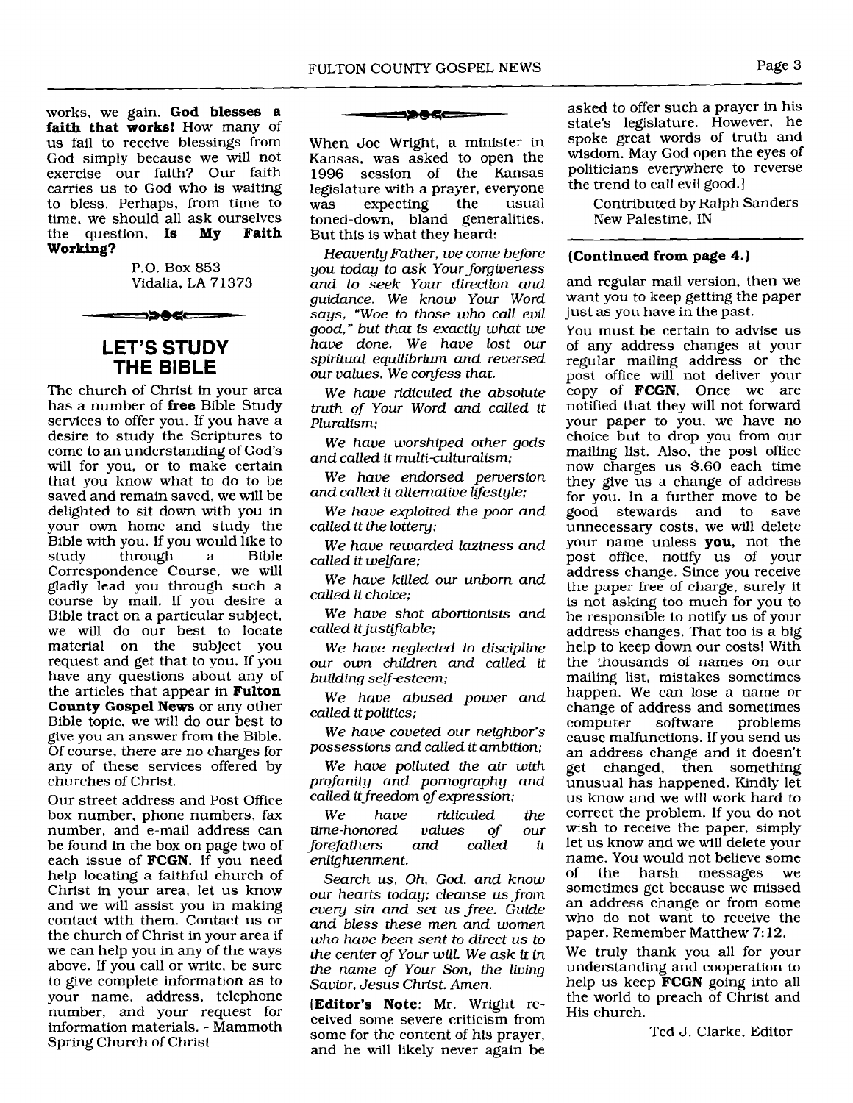works, we gain. **God blesses a faith that works!** How many of us fail to receive blessings from God simply because we will not exercise our faith? Our faith carries us to God who is waiting to bless. Perhaps, from time to time, we should all ask ourselves<br>the question. **Is My Faith** the question, **Is Working?** 

> P.O. Box 853 Vidalia, LA 71373

▄▅▆<del>▓▊▓</del>

## **LET'S STUDY THE BIBLE**

The church of Christ in your area has a number of **free** Bible Study services to offer you. If you have a desire to study the Scriptures to come to an understanding of God's will for you, or to make certain that you know what to do to be saved and remain saved, we will be delighted to sit down with you in your own home and study the Bible with you. If you would like to<br>study through a Bible through Correspondence Course, we will gladly lead you through such a course by mail. If you desire a Bible tract on a particular subject, we will do our best to locate material on the subject you request and get that to you. If you have any questions about any of the articles that appear in **Fulton County Gospel News** or any other Bible topic, we will do our best to give you an answer from the Bible. Of course, there are no charges for any of these services offered by churches of Christ.

Our street address and Post Office box number, phone numbers, fax number, and e-mail address can be found in the box on page two of each issue of **FCGN.** If you need help locating a faithful church of Christ in your area, let us know and we will assist you in making contact with them. Contact us or the church of Christ in your area if we can help you in any of the ways above. If you call or write, be sure to give complete information as to your name, address, telephone number, and your request for information materials. - Mammoth Spring Church of Christ

#### <u>=>965</u>

When Joe Wright, a minister in Kansas, was asked to open the session of the Kansas legislature with a prayer, everyone expecting toned-down, bland generalities. But this is what they heard:

*Heavenly Father, we come before*  you *today to ask Yourforgiveness and to seek Your direction and guidance. We know Your Word says, "Woe to those who call evil good," but that* **is** *exactly what we have done. We have lost our spiritual equilibrium and reversed our values. We confess that.* 

*We have ridiculed the absolute truth of Your Word and called it Pluralism;* 

*We have worshiped other gods and called it multiculturalism;* 

*We have endorsed perversion and called it alternative lifestyle;* 

*We have exploited the poor and called it the lottery;* 

*We have rewarded laziness and called it welfare;* 

*We have killed our unborn and called it choice;* 

*We have shot abortionists and called it justifiable;* 

*We have neglected to discipline our own children and called it building selfesteem;* 

*We have abused power and called it politics;* 

*We have coveted our neighbor's possessions and called it ambition;* 

*We have polluted the air with profanity and pornography and called it f reedom of expression;* 

*We have ridiculed the time-honored values of our forefathers and called it enlightenment.* 

*Search us, Oh, God, and know our hearts today; cleanse us from every sin and set us free. Guide and bless these men and women who have been sent to direct us to the center of Your will. We ask it in the name of Your Son, the living Savior, Jesus Christ. Amen.* 

**[Editor's Note:** Mr. Wright received some severe criticism from some for the content of his prayer, and he will likely never again be

asked to offer such a prayer in his state's legislature. However, he spoke great words of truth and wisdom. May God open the eyes of politicians everywhere to reverse the trend to call evil good.]

Contributed by Ralph Sanders New Palestine, IN

## **(Continued from page 4.)**

and regular mail version, then we want you to keep getting the paper just as you have in the past.

You must be certain to advise us of any address changes at your regular mailing address or the post office will not deliver your copy of **FCGN.** Once we are notified that they will not forward your paper to you, we have no choice but to drop you from our mailing list. Also, the post office now charges us \$.60 each time they give us a change of address for you. In a further move to be<br>good stewards and to save good stewards and to unnecessary costs, we will delete your name unless **you,** not the post office, notify us of your address change. Since you receive the paper free of charge, surely it is not asking too much for you to be responsible to notify us of your address changes. That too is a big help to keep down our costs! With the thousands of names on our mailing list, mistakes sometimes happen. We can lose a name or change of address and sometimes<br>computer software problems problems cause malfunctions. 1f you send us an address change and it doesn't get changed, then something unusual has happened. Kindly let us know and we will work hard to correct the problem. If you do not wish to receive the paper, simply let us know and we will delete your name. You would not believe some of the harsh messages we sometimes get because we missed an address change or from some who do not want to receive the paper. Remember Matthew 7: 12.

We truly thank you all for your understanding and cooperation to help us keep **FCGN** going into all the world to preach of Christ and His church.

Ted J. Clarke, Editor